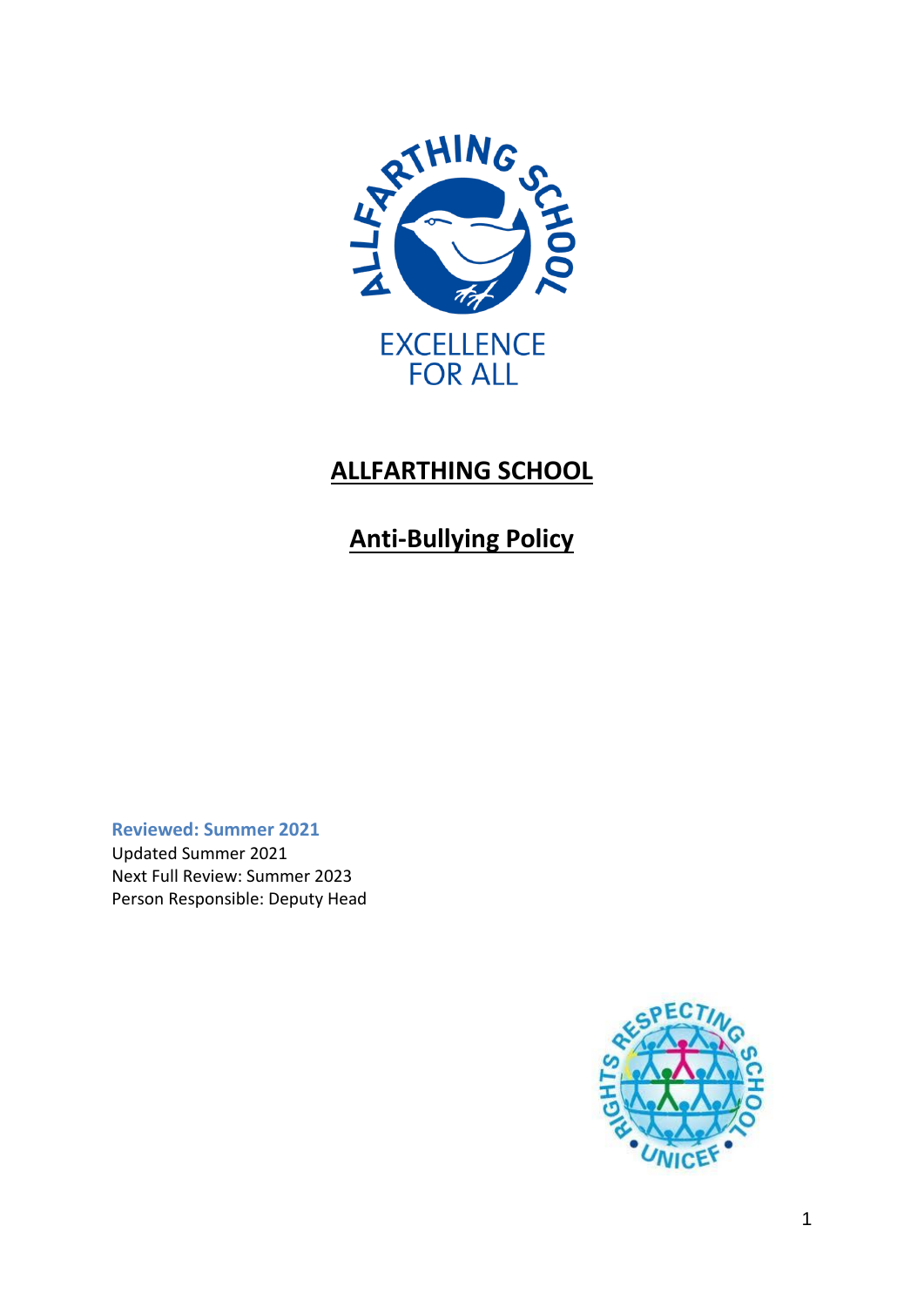

# **ALLFARTHING SCHOOL**

# **Anti-Bullying Policy**

**Reviewed: Summer 2021** Updated Summer 2021 Next Full Review: Summer 2023 Person Responsible: Deputy Head

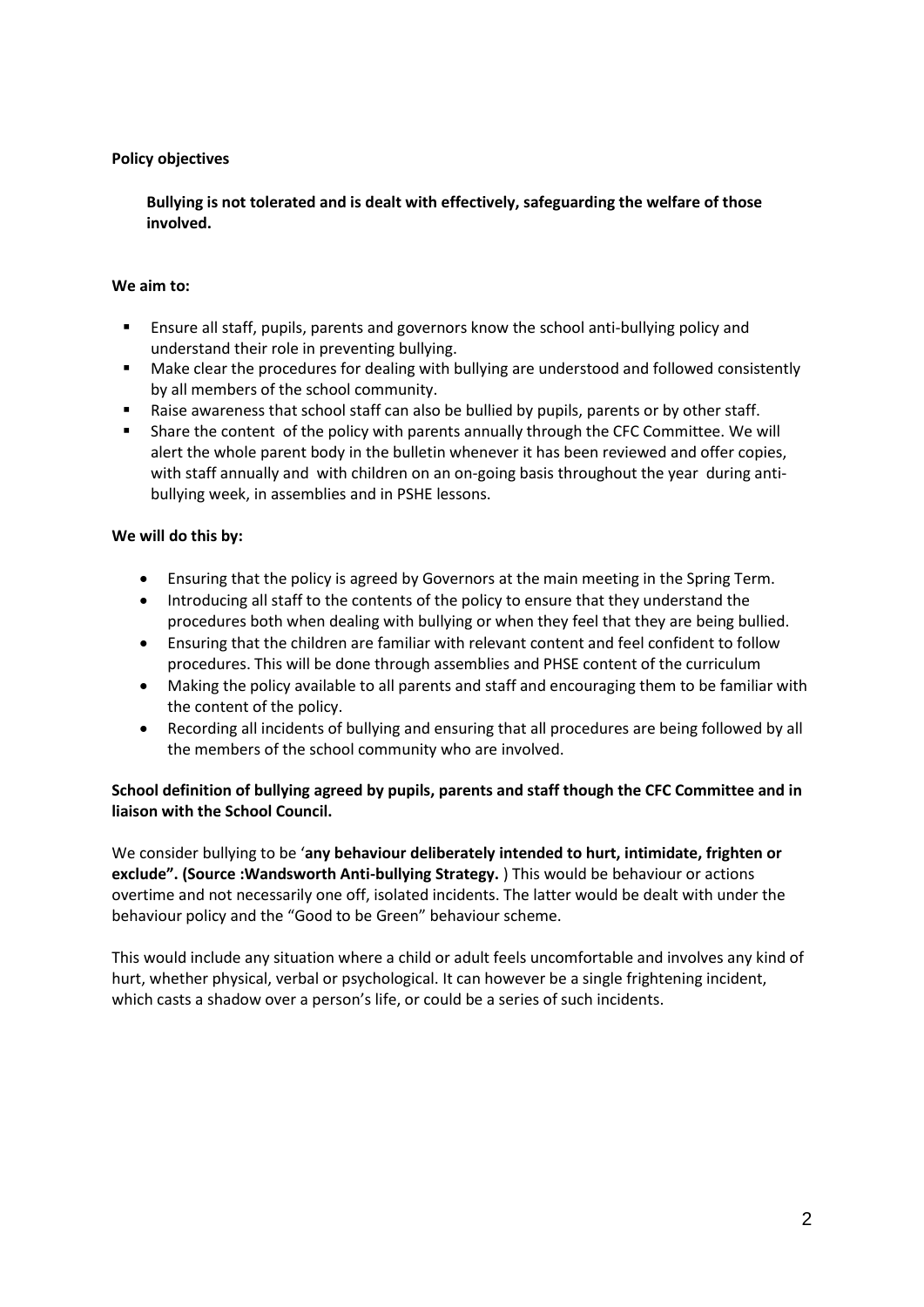#### **Policy objectives**

 **Bullying is not tolerated and is dealt with effectively, safeguarding the welfare of those involved.**

#### **We aim to:**

- Ensure all staff, pupils, parents and governors know the school anti-bullying policy and understand their role in preventing bullying.
- Make clear the procedures for dealing with bullying are understood and followed consistently by all members of the school community.
- Raise awareness that school staff can also be bullied by pupils, parents or by other staff.
- Share the content of the policy with parents annually through the CFC Committee. We will alert the whole parent body in the bulletin whenever it has been reviewed and offer copies, with staff annually and with children on an on-going basis throughout the year during antibullying week, in assemblies and in PSHE lessons.

#### **We will do this by:**

- Ensuring that the policy is agreed by Governors at the main meeting in the Spring Term.
- Introducing all staff to the contents of the policy to ensure that they understand the procedures both when dealing with bullying or when they feel that they are being bullied.
- Ensuring that the children are familiar with relevant content and feel confident to follow procedures. This will be done through assemblies and PHSE content of the curriculum
- Making the policy available to all parents and staff and encouraging them to be familiar with the content of the policy.
- Recording all incidents of bullying and ensuring that all procedures are being followed by all the members of the school community who are involved.

## **School definition of bullying agreed by pupils, parents and staff though the CFC Committee and in liaison with the School Council.**

We consider bullying to be '**any behaviour deliberately intended to hurt, intimidate, frighten or exclude". (Source :Wandsworth Anti-bullying Strategy.** ) This would be behaviour or actions overtime and not necessarily one off, isolated incidents. The latter would be dealt with under the behaviour policy and the "Good to be Green" behaviour scheme.

This would include any situation where a child or adult feels uncomfortable and involves any kind of hurt, whether physical, verbal or psychological. It can however be a single frightening incident, which casts a shadow over a person's life, or could be a series of such incidents.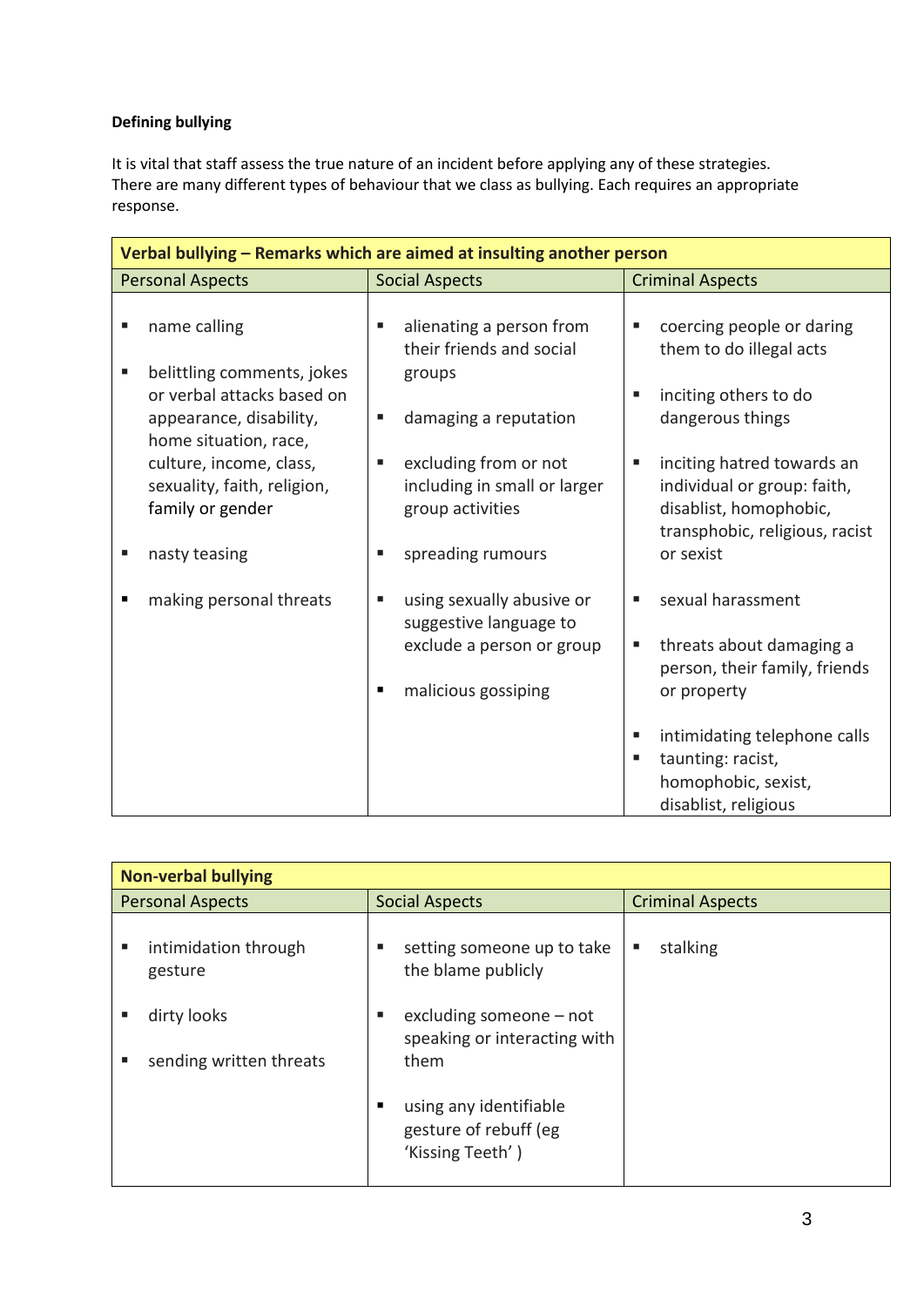## **Defining bullying**

It is vital that staff assess the true nature of an incident before applying any of these strategies. There are many different types of behaviour that we class as bullying. Each requires an appropriate response.

| Verbal bullying - Remarks which are aimed at insulting another person                                             |                                                                                |                                                                                                                            |  |  |  |  |
|-------------------------------------------------------------------------------------------------------------------|--------------------------------------------------------------------------------|----------------------------------------------------------------------------------------------------------------------------|--|--|--|--|
| <b>Personal Aspects</b>                                                                                           | <b>Social Aspects</b>                                                          | <b>Criminal Aspects</b>                                                                                                    |  |  |  |  |
| name calling<br>п                                                                                                 | alienating a person from<br>ш<br>their friends and social                      | coercing people or daring<br>Ű.<br>them to do illegal acts                                                                 |  |  |  |  |
| belittling comments, jokes<br>п<br>or verbal attacks based on<br>appearance, disability,<br>home situation, race, | groups<br>damaging a reputation<br>٠                                           | inciting others to do<br>п<br>dangerous things                                                                             |  |  |  |  |
| culture, income, class,<br>sexuality, faith, religion,<br>family or gender                                        | excluding from or not<br>п<br>including in small or larger<br>group activities | inciting hatred towards an<br>п<br>individual or group: faith,<br>disablist, homophobic,<br>transphobic, religious, racist |  |  |  |  |
| nasty teasing                                                                                                     | spreading rumours<br>٠                                                         | or sexist                                                                                                                  |  |  |  |  |
| making personal threats                                                                                           | using sexually abusive or<br>٠<br>suggestive language to                       | sexual harassment<br>п                                                                                                     |  |  |  |  |
|                                                                                                                   | exclude a person or group                                                      | threats about damaging a<br>п<br>person, their family, friends                                                             |  |  |  |  |
|                                                                                                                   | malicious gossiping<br>٠                                                       | or property                                                                                                                |  |  |  |  |
|                                                                                                                   |                                                                                | intimidating telephone calls<br>п<br>taunting: racist,<br>п<br>homophobic, sexist,<br>disablist, religious                 |  |  |  |  |

| <b>Non-verbal bullying</b> |                                        |                                                                        |                         |  |  |  |
|----------------------------|----------------------------------------|------------------------------------------------------------------------|-------------------------|--|--|--|
| <b>Personal Aspects</b>    |                                        | <b>Social Aspects</b>                                                  | <b>Criminal Aspects</b> |  |  |  |
| ٠                          | intimidation through<br>gesture        | setting someone up to take<br>ш<br>٠<br>the blame publicly             | stalking                |  |  |  |
|                            | dirty looks<br>sending written threats | excluding someone $-$ not<br>п<br>speaking or interacting with<br>them |                         |  |  |  |
|                            |                                        | using any identifiable<br>gesture of rebuff (eg<br>'Kissing Teeth')    |                         |  |  |  |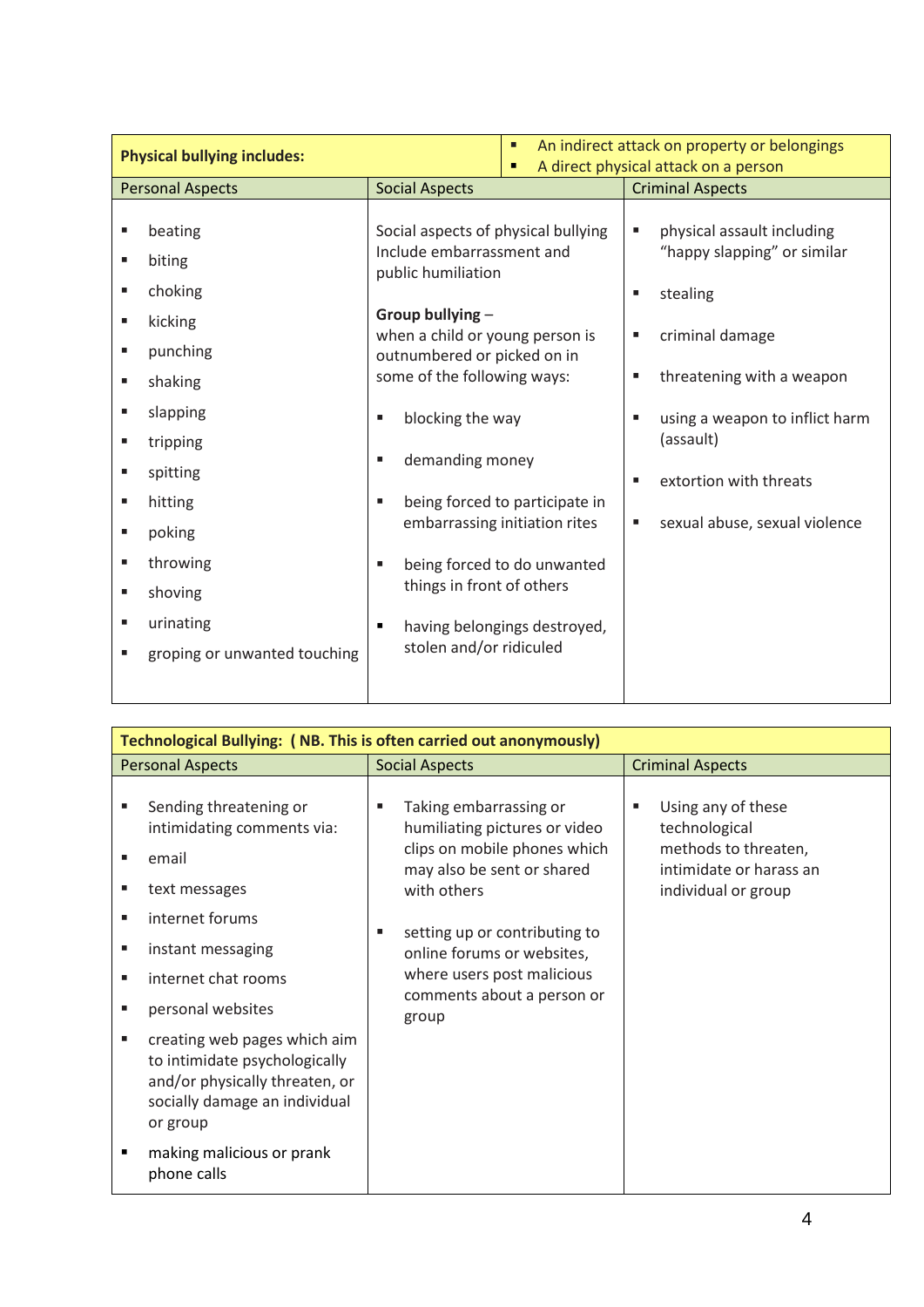| <b>Physical bullying includes:</b>                                                                                                                                                                                                                                 |                                                                                                                                                                                                                                                                                                                                | An indirect attack on property or belongings<br>٠<br>A direct physical attack on a person<br>٠                                 |                                                                                                                                                                                                                                                                                 |
|--------------------------------------------------------------------------------------------------------------------------------------------------------------------------------------------------------------------------------------------------------------------|--------------------------------------------------------------------------------------------------------------------------------------------------------------------------------------------------------------------------------------------------------------------------------------------------------------------------------|--------------------------------------------------------------------------------------------------------------------------------|---------------------------------------------------------------------------------------------------------------------------------------------------------------------------------------------------------------------------------------------------------------------------------|
| <b>Personal Aspects</b>                                                                                                                                                                                                                                            | <b>Social Aspects</b>                                                                                                                                                                                                                                                                                                          |                                                                                                                                | <b>Criminal Aspects</b>                                                                                                                                                                                                                                                         |
| beating<br>п<br>biting<br>Е<br>choking<br>Е<br>kicking<br>п<br>punching<br>п<br>shaking<br>п<br>slapping<br>п<br>tripping<br>п<br>Ē,<br>spitting<br>hitting<br>п<br>poking<br>п<br>throwing<br>п<br>shoving<br>п<br>urinating<br>п<br>groping or unwanted touching | Social aspects of physical bullying<br>Include embarrassment and<br>public humiliation<br>Group bullying -<br>when a child or young person is<br>outnumbered or picked on in<br>some of the following ways:<br>blocking the way<br>٠<br>demanding money<br>٠<br>٠<br>things in front of others<br>٠<br>stolen and/or ridiculed | being forced to participate in<br>embarrassing initiation rites<br>being forced to do unwanted<br>having belongings destroyed, | physical assault including<br>ш<br>"happy slapping" or similar<br>stealing<br>ш<br>criminal damage<br>П<br>threatening with a weapon<br>п<br>using a weapon to inflict harm<br>$\blacksquare$<br>(assault)<br>extortion with threats<br>п<br>sexual abuse, sexual violence<br>ш |

| Technological Bullying: (NB. This is often carried out anonymously)                                                                                                                                                                                       |                                                                                                                                           |                                                                                                                                 |  |  |  |  |  |
|-----------------------------------------------------------------------------------------------------------------------------------------------------------------------------------------------------------------------------------------------------------|-------------------------------------------------------------------------------------------------------------------------------------------|---------------------------------------------------------------------------------------------------------------------------------|--|--|--|--|--|
| <b>Personal Aspects</b>                                                                                                                                                                                                                                   | <b>Social Aspects</b>                                                                                                                     | <b>Criminal Aspects</b>                                                                                                         |  |  |  |  |  |
| Sending threatening or<br>п<br>intimidating comments via:<br>email<br>п<br>text messages<br>п                                                                                                                                                             | Taking embarrassing or<br>٠<br>humiliating pictures or video<br>clips on mobile phones which<br>may also be sent or shared<br>with others | Using any of these<br>$\blacksquare$<br>technological<br>methods to threaten,<br>intimidate or harass an<br>individual or group |  |  |  |  |  |
| internet forums<br>п<br>instant messaging<br>٠<br>internet chat rooms<br>٠<br>personal websites<br>٠<br>creating web pages which aim<br>п<br>to intimidate psychologically<br>and/or physically threaten, or<br>socially damage an individual<br>or group | setting up or contributing to<br>٠<br>online forums or websites,<br>where users post malicious<br>comments about a person or<br>group     |                                                                                                                                 |  |  |  |  |  |
| making malicious or prank<br>$\blacksquare$<br>phone calls                                                                                                                                                                                                |                                                                                                                                           |                                                                                                                                 |  |  |  |  |  |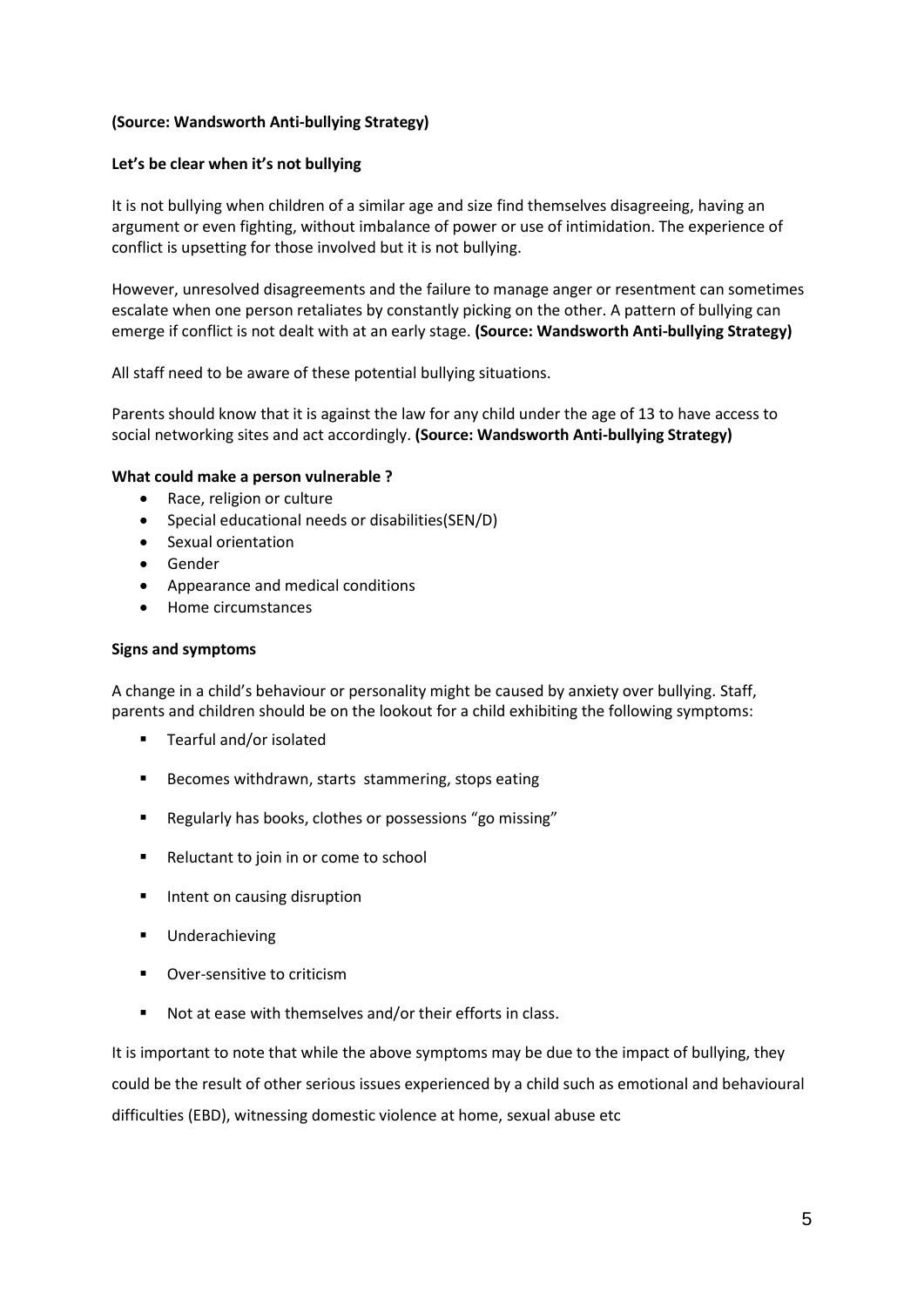#### **(Source: Wandsworth Anti-bullying Strategy)**

#### **Let's be clear when it's not bullying**

It is not bullying when children of a similar age and size find themselves disagreeing, having an argument or even fighting, without imbalance of power or use of intimidation. The experience of conflict is upsetting for those involved but it is not bullying.

However, unresolved disagreements and the failure to manage anger or resentment can sometimes escalate when one person retaliates by constantly picking on the other. A pattern of bullying can emerge if conflict is not dealt with at an early stage. **(Source: Wandsworth Anti-bullying Strategy)**

All staff need to be aware of these potential bullying situations.

Parents should know that it is against the law for any child under the age of 13 to have access to social networking sites and act accordingly. **(Source: Wandsworth Anti-bullying Strategy)**

#### **What could make a person vulnerable ?**

- Race, religion or culture
- Special educational needs or disabilities(SEN/D)
- Sexual orientation
- Gender
- Appearance and medical conditions
- Home circumstances

#### **Signs and symptoms**

A change in a child's behaviour or personality might be caused by anxiety over bullying. Staff, parents and children should be on the lookout for a child exhibiting the following symptoms:

- **F** Tearful and/or isolated
- Becomes withdrawn, starts stammering, stops eating
- Regularly has books, clothes or possessions "go missing"
- Reluctant to join in or come to school
- **Intent on causing disruption**
- **■** Underachieving
- Over-sensitive to criticism
- Not at ease with themselves and/or their efforts in class.

It is important to note that while the above symptoms may be due to the impact of bullying, they could be the result of other serious issues experienced by a child such as emotional and behavioural difficulties (EBD), witnessing domestic violence at home, sexual abuse etc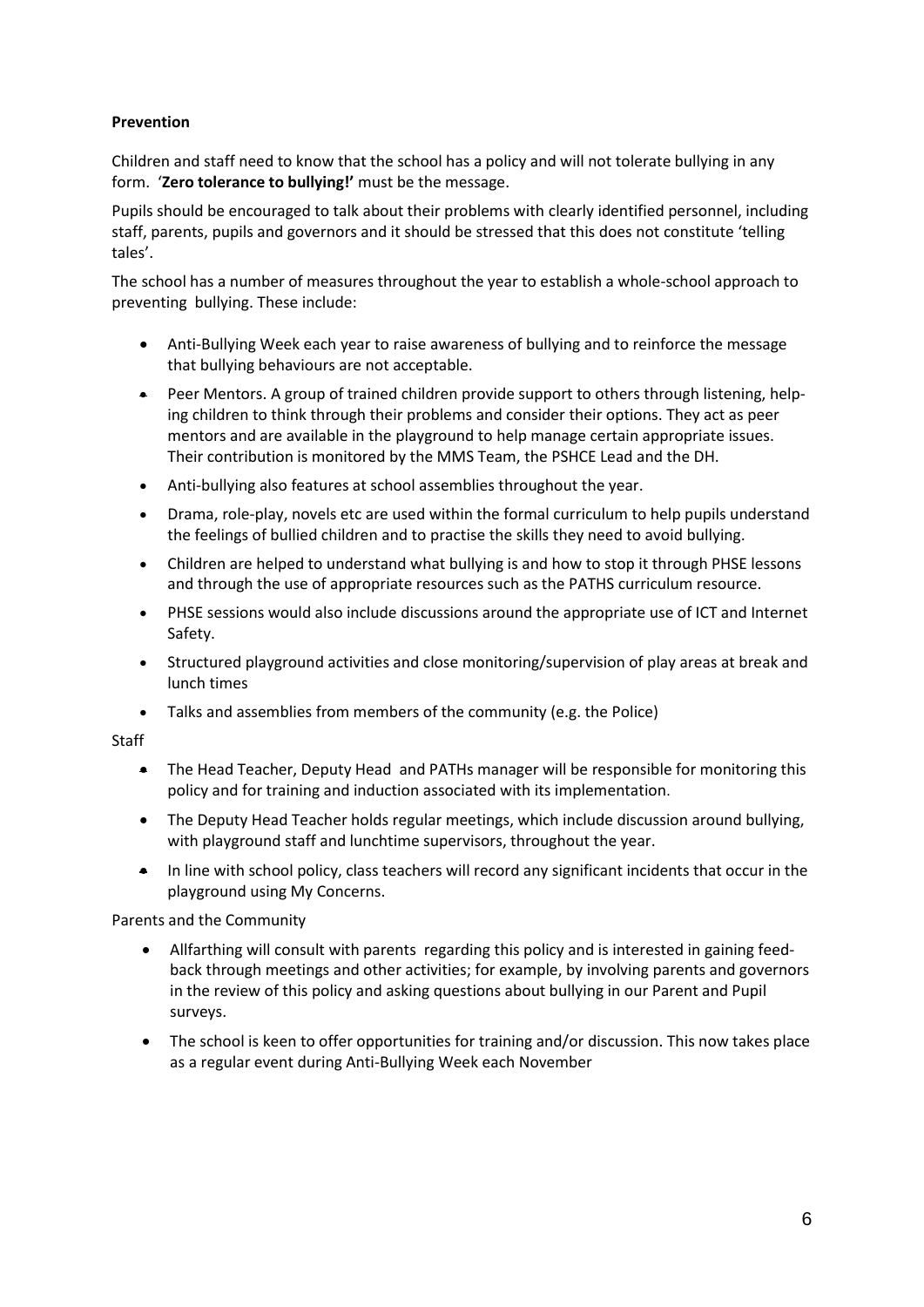## **Prevention**

Children and staff need to know that the school has a policy and will not tolerate bullying in any form. '**Zero tolerance to bullying!'** must be the message.

Pupils should be encouraged to talk about their problems with clearly identified personnel, including staff, parents, pupils and governors and it should be stressed that this does not constitute 'telling tales'.

The school has a number of measures throughout the year to establish a whole-school approach to preventing bullying. These include:

- Anti-Bullying Week each year to raise awareness of bullying and to reinforce the message that bullying behaviours are not acceptable.
- Peer Mentors. A group of trained children provide support to others through listening, helping children to think through their problems and consider their options. They act as peer mentors and are available in the playground to help manage certain appropriate issues. Their contribution is monitored by the MMS Team, the PSHCE Lead and the DH.
- Anti-bullying also features at school assemblies throughout the year.
- Drama, role-play, novels etc are used within the formal curriculum to help pupils understand the feelings of bullied children and to practise the skills they need to avoid bullying.
- Children are helped to understand what bullying is and how to stop it through PHSE lessons and through the use of appropriate resources such as the PATHS curriculum resource.
- PHSE sessions would also include discussions around the appropriate use of ICT and Internet Safety.
- Structured playground activities and close monitoring/supervision of play areas at break and lunch times
- Talks and assemblies from members of the community (e.g. the Police)

**Staff** 

- The Head Teacher, Deputy Head and PATHs manager will be responsible for monitoring this policy and for training and induction associated with its implementation.
- The Deputy Head Teacher holds regular meetings, which include discussion around bullying, with playground staff and lunchtime supervisors, throughout the year.
- In line with school policy, class teachers will record any significant incidents that occur in the playground using My Concerns.

Parents and the Community

- Allfarthing will consult with parents regarding this policy and is interested in gaining feedback through meetings and other activities; for example, by involving parents and governors in the review of this policy and asking questions about bullying in our Parent and Pupil surveys.
- The school is keen to offer opportunities for training and/or discussion. This now takes place as a regular event during Anti-Bullying Week each November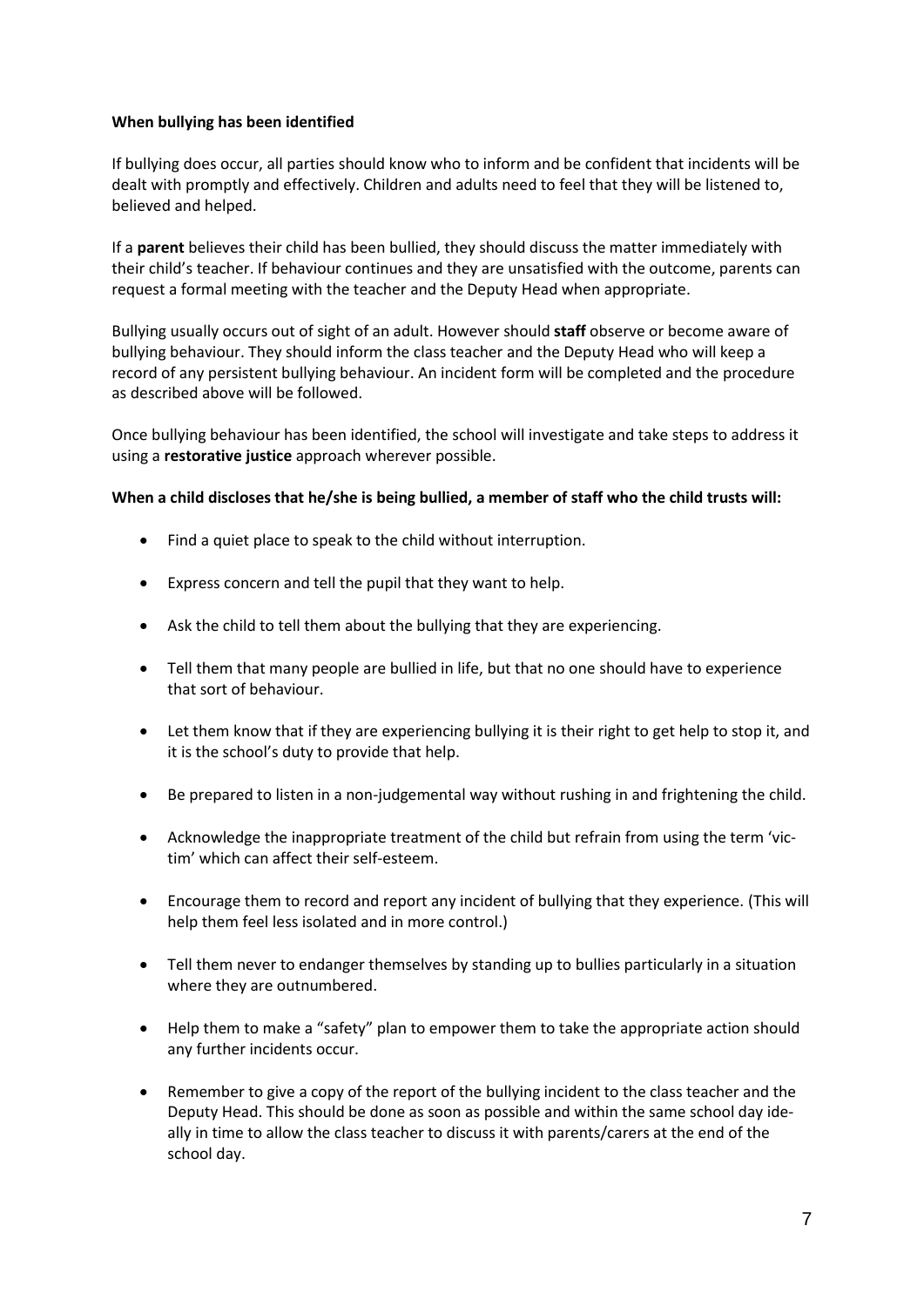#### **When bullying has been identified**

If bullying does occur, all parties should know who to inform and be confident that incidents will be dealt with promptly and effectively. Children and adults need to feel that they will be listened to, believed and helped.

If a **parent** believes their child has been bullied, they should discuss the matter immediately with their child's teacher. If behaviour continues and they are unsatisfied with the outcome, parents can request a formal meeting with the teacher and the Deputy Head when appropriate.

Bullying usually occurs out of sight of an adult. However should **staff** observe or become aware of bullying behaviour. They should inform the class teacher and the Deputy Head who will keep a record of any persistent bullying behaviour. An incident form will be completed and the procedure as described above will be followed.

Once bullying behaviour has been identified, the school will investigate and take steps to address it using a **restorative justice** approach wherever possible.

#### **When a child discloses that he/she is being bullied, a member of staff who the child trusts will:**

- Find a quiet place to speak to the child without interruption.
- Express concern and tell the pupil that they want to help.
- Ask the child to tell them about the bullying that they are experiencing.
- Tell them that many people are bullied in life, but that no one should have to experience that sort of behaviour.
- Let them know that if they are experiencing bullying it is their right to get help to stop it, and it is the school's duty to provide that help.
- Be prepared to listen in a non-judgemental way without rushing in and frightening the child.
- Acknowledge the inappropriate treatment of the child but refrain from using the term 'victim' which can affect their self-esteem.
- Encourage them to record and report any incident of bullying that they experience. (This will help them feel less isolated and in more control.)
- Tell them never to endanger themselves by standing up to bullies particularly in a situation where they are outnumbered.
- Help them to make a "safety" plan to empower them to take the appropriate action should any further incidents occur.
- Remember to give a copy of the report of the bullying incident to the class teacher and the Deputy Head. This should be done as soon as possible and within the same school day ideally in time to allow the class teacher to discuss it with parents/carers at the end of the school day.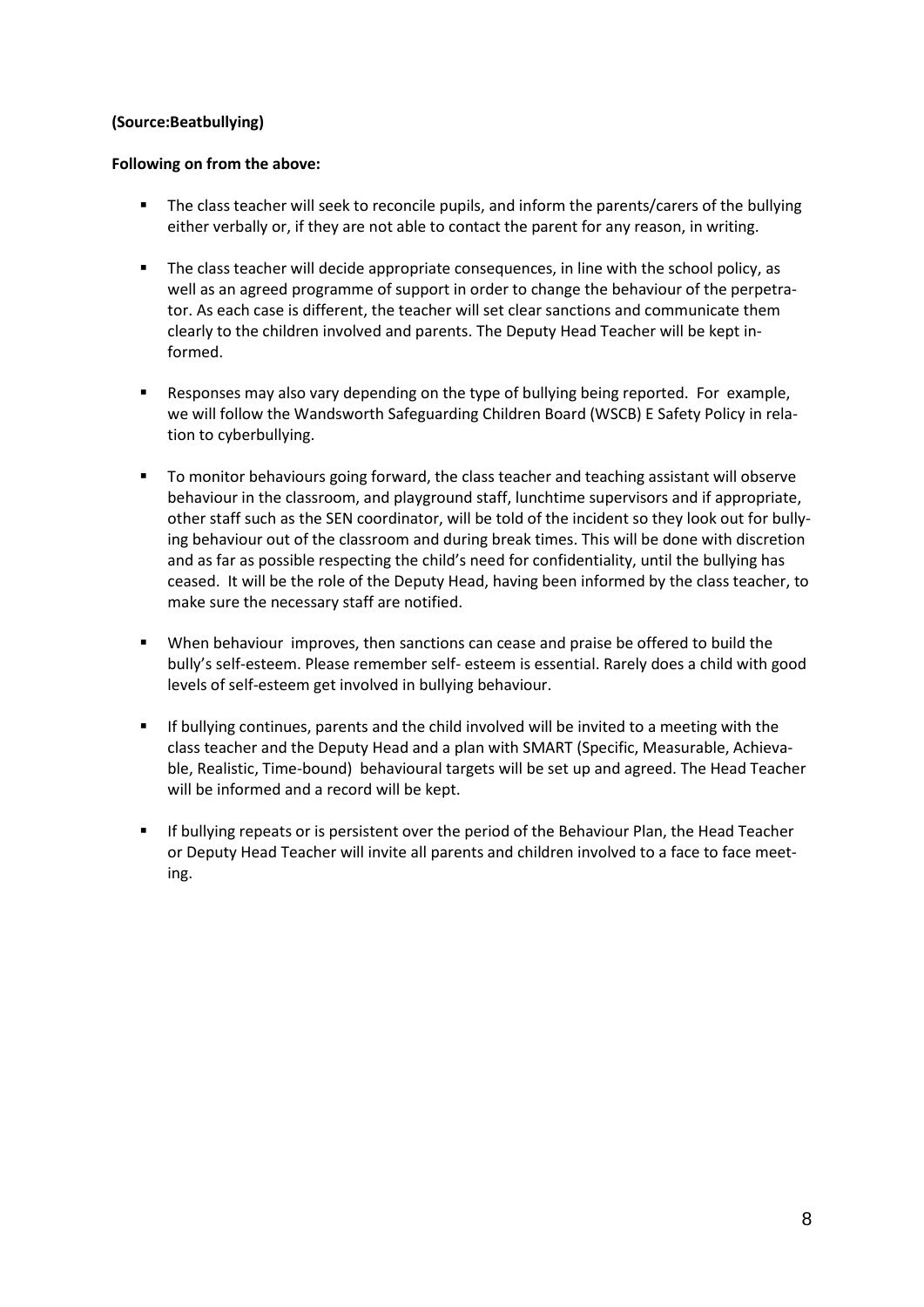#### **(Source:Beatbullying)**

#### **Following on from the above:**

- The class teacher will seek to reconcile pupils, and inform the parents/carers of the bullying either verbally or, if they are not able to contact the parent for any reason, in writing.
- The class teacher will decide appropriate consequences, in line with the school policy, as well as an agreed programme of support in order to change the behaviour of the perpetrator. As each case is different, the teacher will set clear sanctions and communicate them clearly to the children involved and parents. The Deputy Head Teacher will be kept informed.
- Responses may also vary depending on the type of bullying being reported. For example, we will follow the Wandsworth Safeguarding Children Board (WSCB) E Safety Policy in relation to cyberbullying.
- To monitor behaviours going forward, the class teacher and teaching assistant will observe behaviour in the classroom, and playground staff, lunchtime supervisors and if appropriate, other staff such as the SEN coordinator, will be told of the incident so they look out for bullying behaviour out of the classroom and during break times. This will be done with discretion and as far as possible respecting the child's need for confidentiality, until the bullying has ceased. It will be the role of the Deputy Head, having been informed by the class teacher, to make sure the necessary staff are notified.
- When behaviour improves, then sanctions can cease and praise be offered to build the bully's self-esteem. Please remember self- esteem is essential. Rarely does a child with good levels of self-esteem get involved in bullying behaviour.
- If bullying continues, parents and the child involved will be invited to a meeting with the class teacher and the Deputy Head and a plan with SMART (Specific, Measurable, Achievable, Realistic, Time-bound) behavioural targets will be set up and agreed. The Head Teacher will be informed and a record will be kept.
- If bullying repeats or is persistent over the period of the Behaviour Plan, the Head Teacher or Deputy Head Teacher will invite all parents and children involved to a face to face meeting.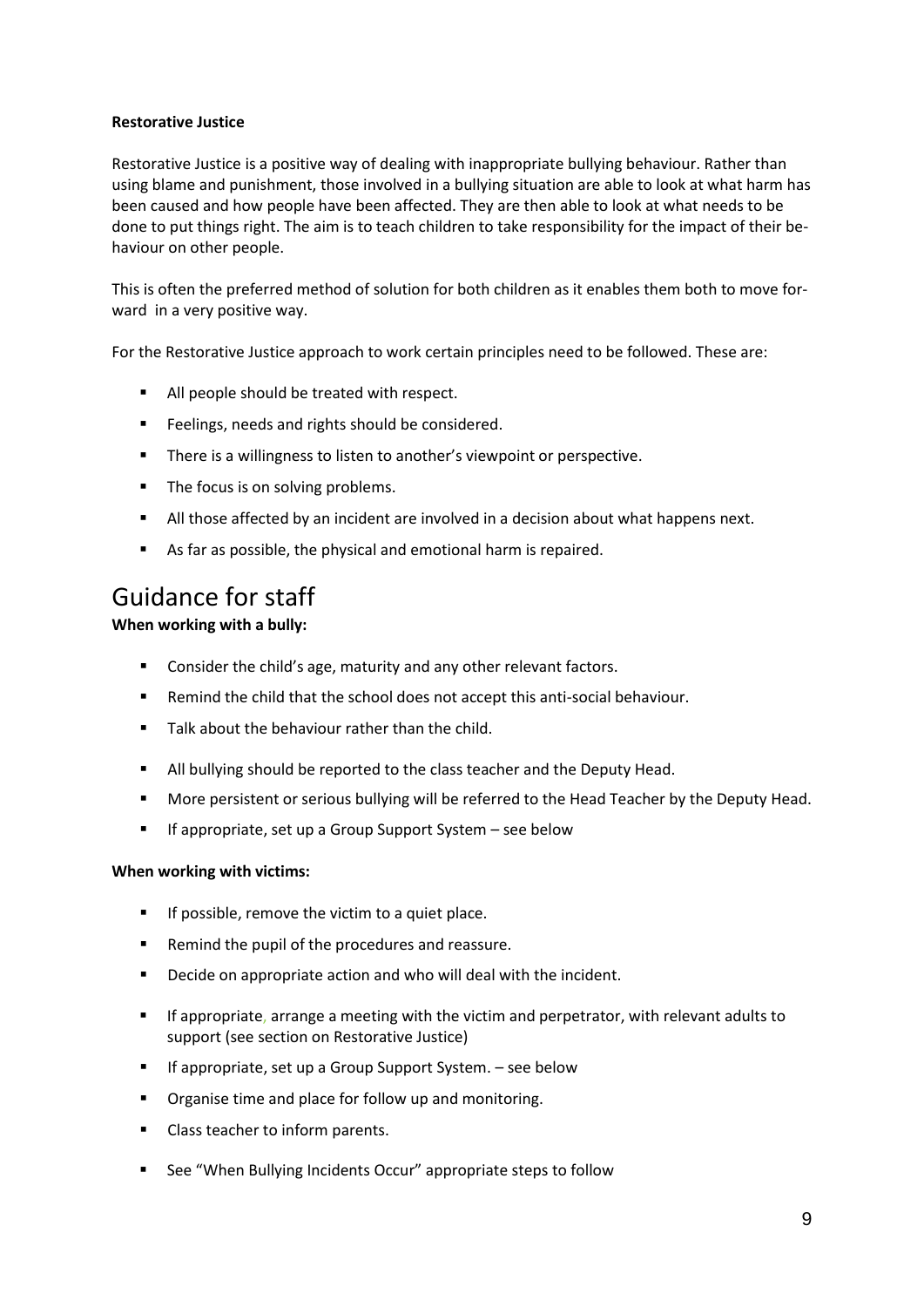#### **Restorative Justice**

Restorative Justice is a positive way of dealing with inappropriate bullying behaviour. Rather than using blame and punishment, those involved in a bullying situation are able to look at what harm has been caused and how people have been affected. They are then able to look at what needs to be done to put things right. The aim is to teach children to take responsibility for the impact of their behaviour on other people.

This is often the preferred method of solution for both children as it enables them both to move forward in a very positive way.

For the Restorative Justice approach to work certain principles need to be followed. These are:

- All people should be treated with respect.
- **Feelings, needs and rights should be considered.**
- **There is a willingness to listen to another's viewpoint or perspective.**
- The focus is on solving problems.
- All those affected by an incident are involved in a decision about what happens next.
- As far as possible, the physical and emotional harm is repaired.

## Guidance for staff

**When working with a bully:**

- **EXECONS** Consider the child's age, maturity and any other relevant factors.
- Remind the child that the school does not accept this anti-social behaviour.
- **Talk about the behaviour rather than the child.**
- All bullying should be reported to the class teacher and the Deputy Head.
- **More persistent or serious bullying will be referred to the Head Teacher by the Deputy Head.**
- **If appropriate, set up a Group Support System see below**

#### **When working with victims:**

- $\blacksquare$  If possible, remove the victim to a quiet place.
- Remind the pupil of the procedures and reassure.
- **•** Decide on appropriate action and who will deal with the incident.
- **If appropriate, arrange a meeting with the victim and perpetrator, with relevant adults to** support (see section on Restorative Justice)
- If appropriate, set up a Group Support System. see below
- **•** Organise time and place for follow up and monitoring.
- **Class teacher to inform parents.**
- See "When Bullying Incidents Occur" appropriate steps to follow